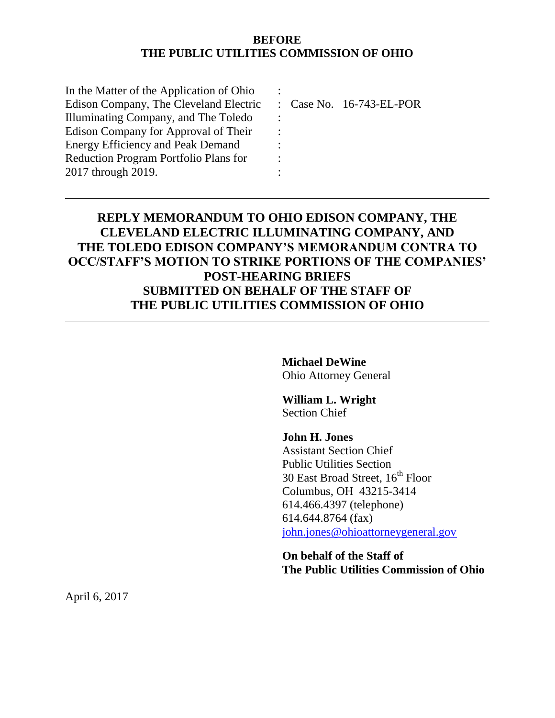#### **BEFORE THE PUBLIC UTILITIES COMMISSION OF OHIO**

| In the Matter of the Application of Ohio |   |                                     |
|------------------------------------------|---|-------------------------------------|
| Edison Company, The Cleveland Electric   |   | $\therefore$ Case No. 16-743-EL-POR |
| Illuminating Company, and The Toledo     |   |                                     |
| Edison Company for Approval of Their     |   |                                     |
| <b>Energy Efficiency and Peak Demand</b> |   |                                     |
| Reduction Program Portfolio Plans for    | ٠ |                                     |
| 2017 through 2019.                       |   |                                     |
|                                          |   |                                     |

# **REPLY MEMORANDUM TO OHIO EDISON COMPANY, THE CLEVELAND ELECTRIC ILLUMINATING COMPANY, AND THE TOLEDO EDISON COMPANY'S MEMORANDUM CONTRA TO OCC/STAFF'S MOTION TO STRIKE PORTIONS OF THE COMPANIES' POST-HEARING BRIEFS SUBMITTED ON BEHALF OF THE STAFF OF THE PUBLIC UTILITIES COMMISSION OF OHIO**

**Michael DeWine** Ohio Attorney General

**William L. Wright** Section Chief

**John H. Jones** Assistant Section Chief Public Utilities Section 30 East Broad Street,  $16^{th}$  Floor Columbus, OH 43215-3414 614.466.4397 (telephone) 614.644.8764 (fax) [john.jones@ohioattorneygeneral.gov](mailto:john.jones@ohioattorneygeneral.gov)

**On behalf of the Staff of The Public Utilities Commission of Ohio**

April 6, 2017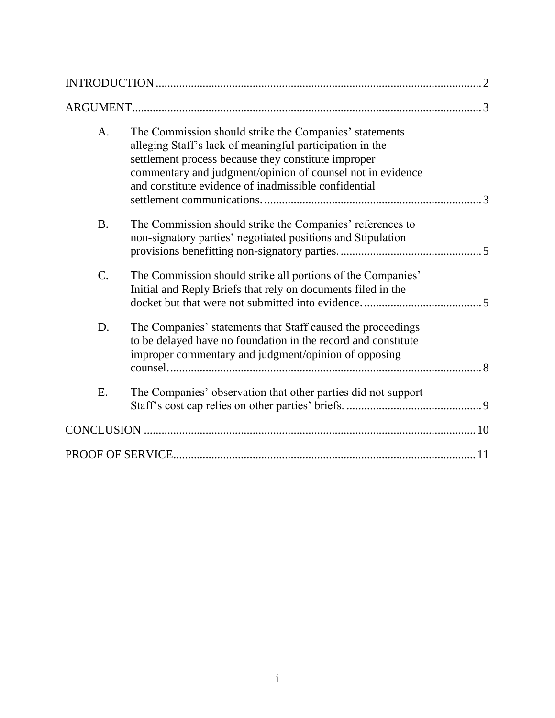| A.              | The Commission should strike the Companies' statements<br>alleging Staff's lack of meaningful participation in the<br>settlement process because they constitute improper<br>commentary and judgment/opinion of counsel not in evidence<br>and constitute evidence of inadmissible confidential<br>$\mathcal{R}$ |
|-----------------|------------------------------------------------------------------------------------------------------------------------------------------------------------------------------------------------------------------------------------------------------------------------------------------------------------------|
| <b>B.</b>       | The Commission should strike the Companies' references to<br>non-signatory parties' negotiated positions and Stipulation                                                                                                                                                                                         |
| $\mathcal{C}$ . | The Commission should strike all portions of the Companies'<br>Initial and Reply Briefs that rely on documents filed in the                                                                                                                                                                                      |
| D.              | The Companies' statements that Staff caused the proceedings<br>to be delayed have no foundation in the record and constitute<br>improper commentary and judgment/opinion of opposing                                                                                                                             |
| E.              | The Companies' observation that other parties did not support                                                                                                                                                                                                                                                    |
|                 |                                                                                                                                                                                                                                                                                                                  |
|                 |                                                                                                                                                                                                                                                                                                                  |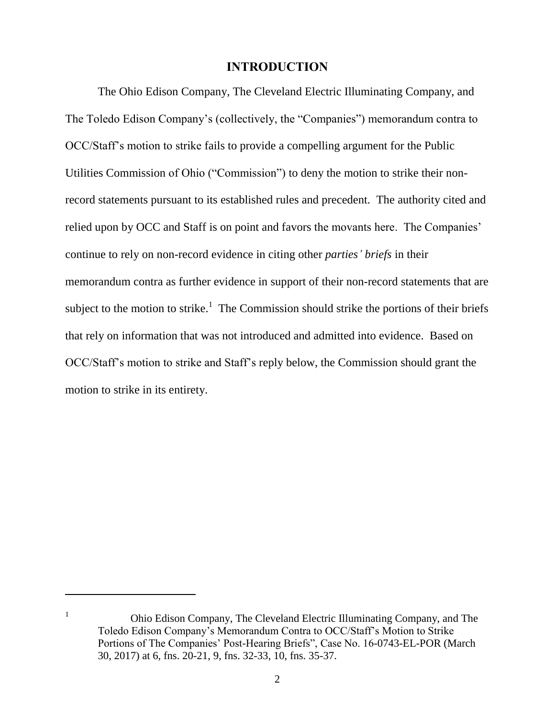#### **INTRODUCTION**

The Ohio Edison Company, The Cleveland Electric Illuminating Company, and The Toledo Edison Company's (collectively, the "Companies") memorandum contra to OCC/Staff's motion to strike fails to provide a compelling argument for the Public Utilities Commission of Ohio ("Commission") to deny the motion to strike their nonrecord statements pursuant to its established rules and precedent. The authority cited and relied upon by OCC and Staff is on point and favors the movants here. The Companies' continue to rely on non-record evidence in citing other *parties' briefs* in their memorandum contra as further evidence in support of their non-record statements that are subject to the motion to strike.<sup>1</sup> The Commission should strike the portions of their briefs that rely on information that was not introduced and admitted into evidence. Based on OCC/Staff's motion to strike and Staff's reply below, the Commission should grant the motion to strike in its entirety.

 $\overline{a}$ 

<sup>1</sup> Ohio Edison Company, The Cleveland Electric Illuminating Company, and The Toledo Edison Company's Memorandum Contra to OCC/Staff's Motion to Strike Portions of The Companies' Post-Hearing Briefs", Case No. 16-0743-EL-POR (March 30, 2017) at 6, fns. 20-21, 9, fns. 32-33, 10, fns. 35-37.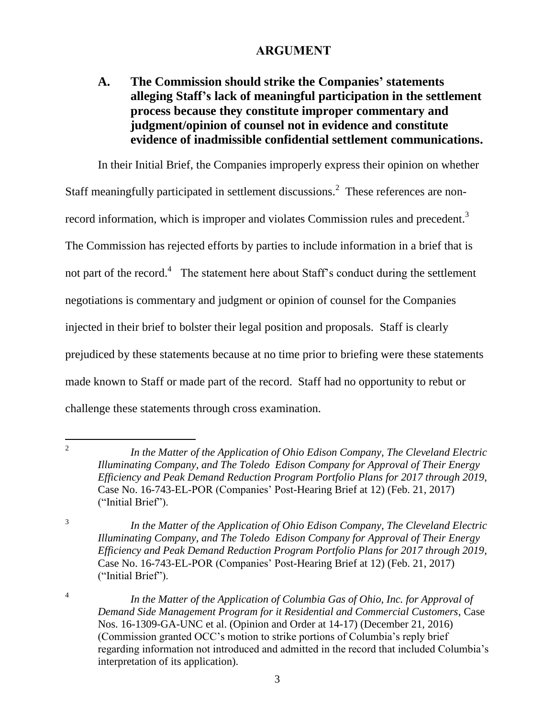### **ARGUMENT**

# **A. The Commission should strike the Companies' statements alleging Staff's lack of meaningful participation in the settlement process because they constitute improper commentary and judgment/opinion of counsel not in evidence and constitute evidence of inadmissible confidential settlement communications.**

In their Initial Brief, the Companies improperly express their opinion on whether Staff meaningfully participated in settlement discussions.<sup>2</sup> These references are nonrecord information, which is improper and violates Commission rules and precedent.<sup>3</sup> The Commission has rejected efforts by parties to include information in a brief that is not part of the record.<sup>4</sup> The statement here about Staff's conduct during the settlement negotiations is commentary and judgment or opinion of counsel for the Companies injected in their brief to bolster their legal position and proposals. Staff is clearly prejudiced by these statements because at no time prior to briefing were these statements made known to Staff or made part of the record. Staff had no opportunity to rebut or challenge these statements through cross examination.

*In the Matter of the Application of Ohio Edison Company, The Cleveland Electric Illuminating Company, and The Toledo Edison Company for Approval of Their Energy Efficiency and Peak Demand Reduction Program Portfolio Plans for 2017 through 2019*, Case No. 16-743-EL-POR (Companies' Post-Hearing Brief at 12) (Feb. 21, 2017) ("Initial Brief").

 $\frac{1}{2}$ 

3

4

*In the Matter of the Application of Ohio Edison Company, The Cleveland Electric Illuminating Company, and The Toledo Edison Company for Approval of Their Energy Efficiency and Peak Demand Reduction Program Portfolio Plans for 2017 through 2019*, Case No. 16-743-EL-POR (Companies' Post-Hearing Brief at 12) (Feb. 21, 2017) ("Initial Brief").

*In the Matter of the Application of Columbia Gas of Ohio, Inc. for Approval of Demand Side Management Program for it Residential and Commercial Customers*, Case Nos. 16-1309-GA-UNC et al. (Opinion and Order at 14-17) (December 21, 2016) (Commission granted OCC's motion to strike portions of Columbia's reply brief regarding information not introduced and admitted in the record that included Columbia's interpretation of its application).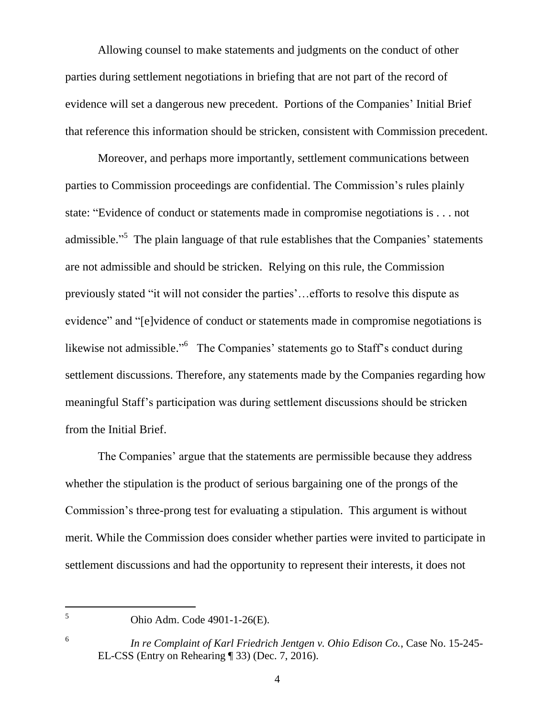Allowing counsel to make statements and judgments on the conduct of other parties during settlement negotiations in briefing that are not part of the record of evidence will set a dangerous new precedent. Portions of the Companies' Initial Brief that reference this information should be stricken, consistent with Commission precedent.

Moreover, and perhaps more importantly, settlement communications between parties to Commission proceedings are confidential. The Commission's rules plainly state: "Evidence of conduct or statements made in compromise negotiations is . . . not admissible."<sup>5</sup> The plain language of that rule establishes that the Companies' statements are not admissible and should be stricken. Relying on this rule, the Commission previously stated "it will not consider the parties'…efforts to resolve this dispute as evidence" and "[e]vidence of conduct or statements made in compromise negotiations is likewise not admissible."<sup>6</sup> The Companies' statements go to Staff's conduct during settlement discussions. Therefore, any statements made by the Companies regarding how meaningful Staff's participation was during settlement discussions should be stricken from the Initial Brief.

The Companies' argue that the statements are permissible because they address whether the stipulation is the product of serious bargaining one of the prongs of the Commission's three-prong test for evaluating a stipulation. This argument is without merit. While the Commission does consider whether parties were invited to participate in settlement discussions and had the opportunity to represent their interests, it does not

5 6

<sup>5</sup> Ohio Adm. Code 4901-1-26(E).

*In re Complaint of Karl Friedrich Jentgen v. Ohio Edison Co.*, Case No. 15-245- EL-CSS (Entry on Rehearing ¶ 33) (Dec. 7, 2016).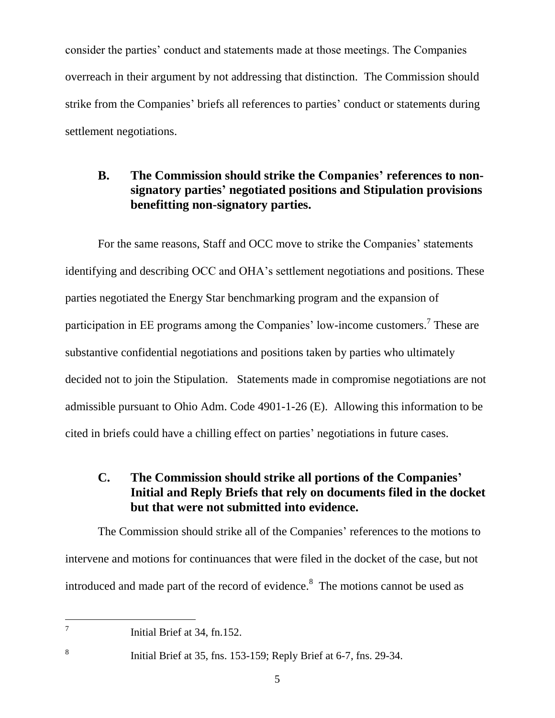consider the parties' conduct and statements made at those meetings. The Companies overreach in their argument by not addressing that distinction. The Commission should strike from the Companies' briefs all references to parties' conduct or statements during settlement negotiations.

# **B. The Commission should strike the Companies' references to nonsignatory parties' negotiated positions and Stipulation provisions benefitting non-signatory parties.**

For the same reasons, Staff and OCC move to strike the Companies' statements identifying and describing OCC and OHA's settlement negotiations and positions. These parties negotiated the Energy Star benchmarking program and the expansion of participation in EE programs among the Companies' low-income customers.<sup>7</sup> These are substantive confidential negotiations and positions taken by parties who ultimately decided not to join the Stipulation. Statements made in compromise negotiations are not admissible pursuant to Ohio Adm. Code 4901-1-26 (E). Allowing this information to be cited in briefs could have a chilling effect on parties' negotiations in future cases.

# **C. The Commission should strike all portions of the Companies' Initial and Reply Briefs that rely on documents filed in the docket but that were not submitted into evidence.**

The Commission should strike all of the Companies' references to the motions to intervene and motions for continuances that were filed in the docket of the case, but not introduced and made part of the record of evidence.<sup>8</sup> The motions cannot be used as

Initial Brief at 34, fn.152.

<sup>-</sup>7

8

Initial Brief at 35, fns. 153-159; Reply Brief at 6-7, fns. 29-34.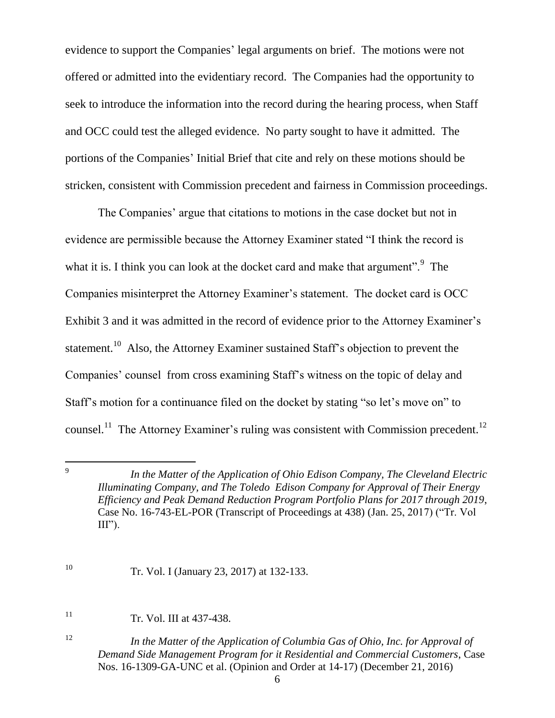evidence to support the Companies' legal arguments on brief. The motions were not offered or admitted into the evidentiary record. The Companies had the opportunity to seek to introduce the information into the record during the hearing process, when Staff and OCC could test the alleged evidence. No party sought to have it admitted. The portions of the Companies' Initial Brief that cite and rely on these motions should be stricken, consistent with Commission precedent and fairness in Commission proceedings.

The Companies' argue that citations to motions in the case docket but not in evidence are permissible because the Attorney Examiner stated "I think the record is what it is. I think you can look at the docket card and make that argument". $9$  The Companies misinterpret the Attorney Examiner's statement. The docket card is OCC Exhibit 3 and it was admitted in the record of evidence prior to the Attorney Examiner's statement.<sup>10</sup> Also, the Attorney Examiner sustained Staff's objection to prevent the Companies' counsel from cross examining Staff's witness on the topic of delay and Staff's motion for a continuance filed on the docket by stating "so let's move on" to counsel.<sup>11</sup> The Attorney Examiner's ruling was consistent with Commission precedent.<sup>12</sup>

*In the Matter of the Application of Ohio Edison Company, The Cleveland Electric Illuminating Company, and The Toledo Edison Company for Approval of Their Energy Efficiency and Peak Demand Reduction Program Portfolio Plans for 2017 through 2019*, Case No. 16-743-EL-POR (Transcript of Proceedings at 438) (Jan. 25, 2017) ("Tr. Vol  $III$ ").

-<br>9

 $11$  Tr. Vol. III at 437-438.

<sup>10</sup> Tr. Vol. I (January 23, 2017) at 132-133.

<sup>12</sup> *In the Matter of the Application of Columbia Gas of Ohio, Inc. for Approval of Demand Side Management Program for it Residential and Commercial Customers*, Case Nos. 16-1309-GA-UNC et al. (Opinion and Order at 14-17) (December 21, 2016)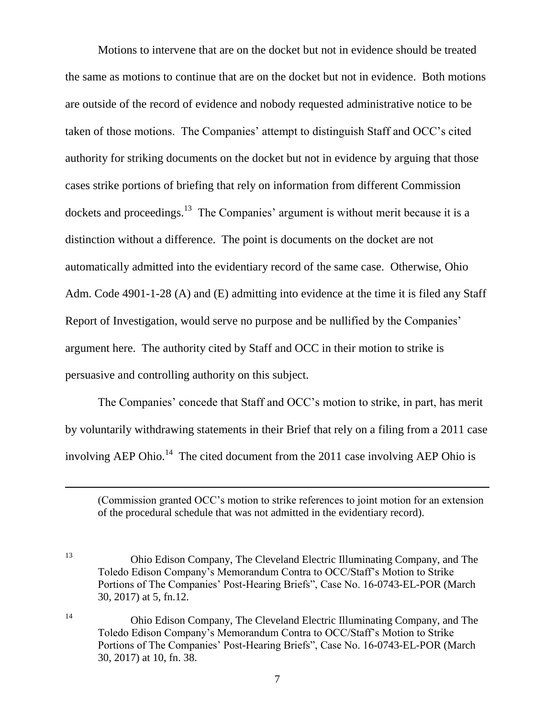Motions to intervene that are on the docket but not in evidence should be treated the same as motions to continue that are on the docket but not in evidence. Both motions are outside of the record of evidence and nobody requested administrative notice to be taken of those motions. The Companies' attempt to distinguish Staff and OCC's cited authority for striking documents on the docket but not in evidence by arguing that those cases strike portions of briefing that rely on information from different Commission dockets and proceedings.<sup>13</sup> The Companies' argument is without merit because it is a distinction without a difference. The point is documents on the docket are not automatically admitted into the evidentiary record of the same case. Otherwise, Ohio Adm. Code 4901-1-28 (A) and (E) admitting into evidence at the time it is filed any Staff Report of Investigation, would serve no purpose and be nullified by the Companies' argument here. The authority cited by Staff and OCC in their motion to strike is persuasive and controlling authority on this subject.

The Companies' concede that Staff and OCC's motion to strike, in part, has merit by voluntarily withdrawing statements in their Brief that rely on a filing from a 2011 case involving AEP Ohio.<sup>14</sup> The cited document from the 2011 case involving AEP Ohio is

 $\overline{a}$ 

(Commission granted OCC's motion to strike references to joint motion for an extension of the procedural schedule that was not admitted in the evidentiary record).

<sup>13</sup> Ohio Edison Company, The Cleveland Electric Illuminating Company, and The Toledo Edison Company's Memorandum Contra to OCC/Staff's Motion to Strike Portions of The Companies' Post-Hearing Briefs", Case No. 16-0743-EL-POR (March 30, 2017) at 5, fn.12.

<sup>14</sup> Ohio Edison Company, The Cleveland Electric Illuminating Company, and The Toledo Edison Company's Memorandum Contra to OCC/Staff's Motion to Strike Portions of The Companies' Post-Hearing Briefs", Case No. 16-0743-EL-POR (March 30, 2017) at 10, fn. 38.

7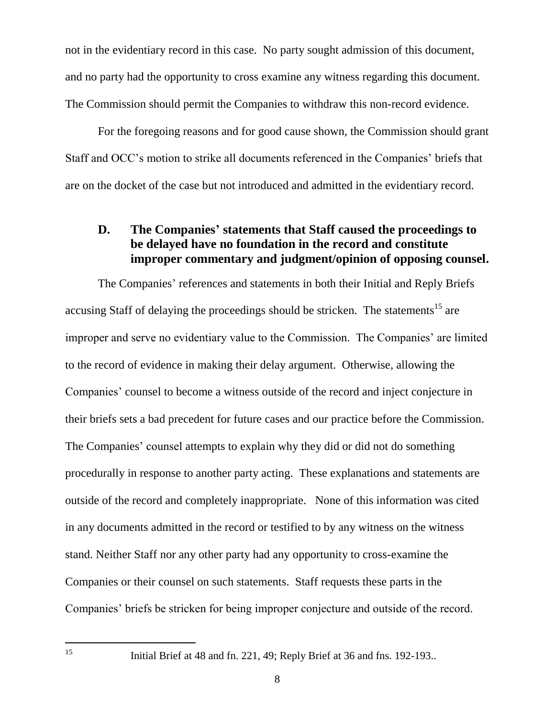not in the evidentiary record in this case. No party sought admission of this document, and no party had the opportunity to cross examine any witness regarding this document. The Commission should permit the Companies to withdraw this non-record evidence.

For the foregoing reasons and for good cause shown, the Commission should grant Staff and OCC's motion to strike all documents referenced in the Companies' briefs that are on the docket of the case but not introduced and admitted in the evidentiary record.

## **D. The Companies' statements that Staff caused the proceedings to be delayed have no foundation in the record and constitute improper commentary and judgment/opinion of opposing counsel.**

The Companies' references and statements in both their Initial and Reply Briefs accusing Staff of delaying the proceedings should be stricken. The statements<sup>15</sup> are improper and serve no evidentiary value to the Commission. The Companies' are limited to the record of evidence in making their delay argument. Otherwise, allowing the Companies' counsel to become a witness outside of the record and inject conjecture in their briefs sets a bad precedent for future cases and our practice before the Commission. The Companies' counsel attempts to explain why they did or did not do something procedurally in response to another party acting. These explanations and statements are outside of the record and completely inappropriate. None of this information was cited in any documents admitted in the record or testified to by any witness on the witness stand. Neither Staff nor any other party had any opportunity to cross-examine the Companies or their counsel on such statements. Staff requests these parts in the Companies' briefs be stricken for being improper conjecture and outside of the record.

15

<sup>15</sup> Initial Brief at 48 and fn. 221, 49; Reply Brief at 36 and fns. 192-193..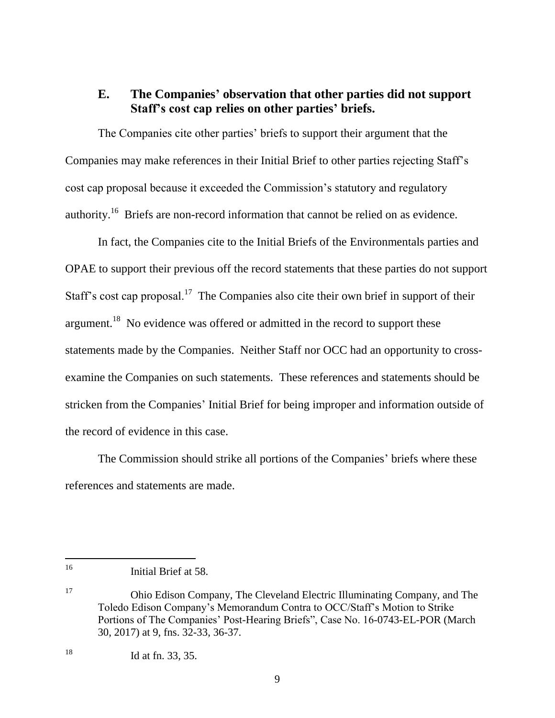#### **E. The Companies' observation that other parties did not support Staff's cost cap relies on other parties' briefs.**

The Companies cite other parties' briefs to support their argument that the Companies may make references in their Initial Brief to other parties rejecting Staff's cost cap proposal because it exceeded the Commission's statutory and regulatory authority.<sup>16</sup> Briefs are non-record information that cannot be relied on as evidence.

In fact, the Companies cite to the Initial Briefs of the Environmentals parties and OPAE to support their previous off the record statements that these parties do not support Staff's cost cap proposal.<sup>17</sup> The Companies also cite their own brief in support of their argument.<sup>18</sup> No evidence was offered or admitted in the record to support these statements made by the Companies. Neither Staff nor OCC had an opportunity to crossexamine the Companies on such statements. These references and statements should be stricken from the Companies' Initial Brief for being improper and information outside of the record of evidence in this case.

The Commission should strike all portions of the Companies' briefs where these references and statements are made.

 $16<sup>1</sup>$ Initial Brief at 58.

<sup>17</sup> Ohio Edison Company, The Cleveland Electric Illuminating Company, and The Toledo Edison Company's Memorandum Contra to OCC/Staff's Motion to Strike Portions of The Companies' Post-Hearing Briefs", Case No. 16-0743-EL-POR (March 30, 2017) at 9, fns. 32-33, 36-37.

<sup>18</sup> Id at fn. 33, 35.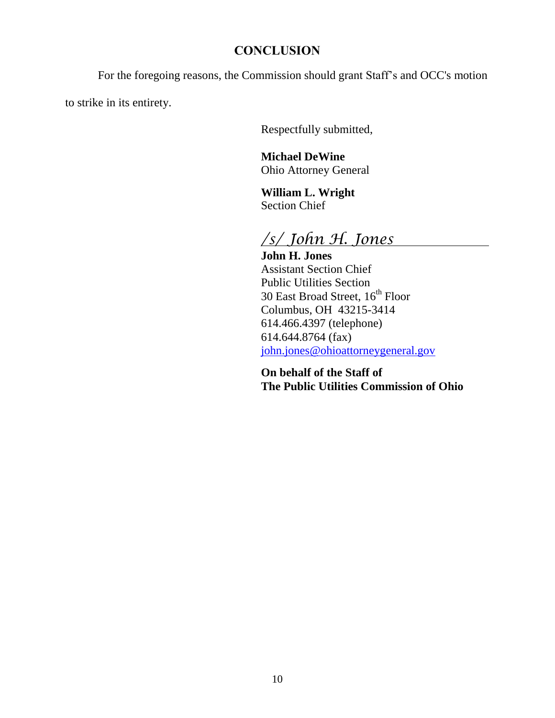## **CONCLUSION**

For the foregoing reasons, the Commission should grant Staff's and OCC's motion

to strike in its entirety.

Respectfully submitted,

**Michael DeWine** Ohio Attorney General

**William L. Wright** Section Chief

*/s/ John H. Jones*

**John H. Jones** Assistant Section Chief Public Utilities Section 30 East Broad Street, 16<sup>th</sup> Floor Columbus, OH 43215-3414 614.466.4397 (telephone) 614.644.8764 (fax) [john.jones@ohioattorneygeneral.gov](mailto:john.jones@ohioattorneygeneral.gov)

**On behalf of the Staff of The Public Utilities Commission of Ohio**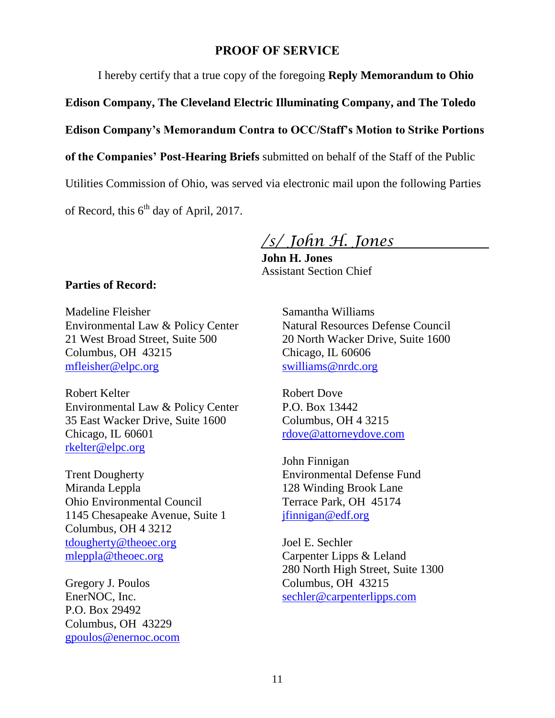#### **PROOF OF SERVICE**

I hereby certify that a true copy of the foregoing **Reply Memorandum to Ohio** 

**Edison Company, The Cleveland Electric Illuminating Company, and The Toledo** 

**Edison Company's Memorandum Contra to OCC/Staff's Motion to Strike Portions** 

**of the Companies' Post-Hearing Briefs** submitted on behalf of the Staff of the Public

Utilities Commission of Ohio, was served via electronic mail upon the following Parties

of Record, this  $6<sup>th</sup>$  day of April, 2017.

*/s/ John H. Jones*

**John H. Jones** Assistant Section Chief

#### **Parties of Record:**

Madeline Fleisher Environmental Law & Policy Center 21 West Broad Street, Suite 500 Columbus, OH 43215 [mfleisher@elpc.org](mailto:mfleisher@elpc.org)

Robert Kelter Environmental Law & Policy Center 35 East Wacker Drive, Suite 1600 Chicago, IL 60601 [rkelter@elpc.org](mailto:rkelter@elpc.org)

Trent Dougherty Miranda Leppla Ohio Environmental Council 1145 Chesapeake Avenue, Suite 1 Columbus, OH 4 3212 [tdougherty@theoec.org](mailto:tdougherty@theoec.org) [mleppla@theoec.org](mailto:mleppla@theoec.org)

Gregory J. Poulos EnerNOC, Inc. P.O. Box 29492 Columbus, OH 43229 [gpoulos@enernoc.ocom](mailto:gpoulos@enernoc.ocom) Samantha Williams Natural Resources Defense Council 20 North Wacker Drive, Suite 1600 Chicago, IL 60606 [swilliams@nrdc.org](mailto:swilliams@nrdc.org)

Robert Dove P.O. Box 13442 Columbus, OH 4 3215 [rdove@attorneydove.com](mailto:rdove@attorneydove.com)

John Finnigan Environmental Defense Fund 128 Winding Brook Lane Terrace Park, OH 45174 [jfinnigan@edf.org](mailto:jfinnigan@edf.org)

Joel E. Sechler Carpenter Lipps & Leland 280 North High Street, Suite 1300 Columbus, OH 43215 [sechler@carpenterlipps.com](mailto:sechler@carpenterlipps.com)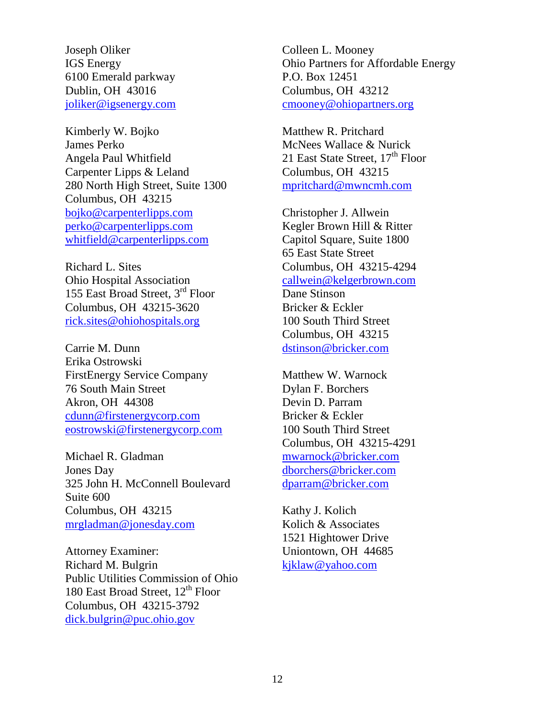Joseph Oliker IGS Energy 6100 Emerald parkway Dublin, OH 43016 [joliker@igsenergy.com](mailto:joliker@igsenergy.com)

Kimberly W. Bojko James Perko Angela Paul Whitfield Carpenter Lipps & Leland 280 North High Street, Suite 1300 Columbus, OH 43215 [bojko@carpenterlipps.com](mailto:bojko@carpenterlipps.com) [perko@carpenterlipps.com](mailto:perko@carpenterlipps.com) [whitfield@carpenterlipps.com](mailto:whitfield@carpenterlipps.com)

Richard L. Sites Ohio Hospital Association 155 East Broad Street, 3rd Floor Columbus, OH 43215-3620 [rick.sites@ohiohospitals.org](mailto:rick.sites@ohiohospitals.org)

Carrie M. Dunn Erika Ostrowski FirstEnergy Service Company 76 South Main Street Akron, OH 44308 [cdunn@firstenergycorp.com](mailto:cdunn@firstenergycorp.com) [eostrowski@firstenergycorp.com](mailto:eostrowski@firstenergycorp.com)

Michael R. Gladman Jones Day 325 John H. McConnell Boulevard Suite 600 Columbus, OH 43215 [mrgladman@jonesday.com](mailto:mrgladman@jonesday.com)

Attorney Examiner: Richard M. Bulgrin Public Utilities Commission of Ohio 180 East Broad Street,  $12^{th}$  Floor Columbus, OH 43215-3792 [dick.bulgrin@puc.ohio.gov](mailto:dick.bulgrin@puc.ohio.gov)

Colleen L. Mooney Ohio Partners for Affordable Energy P.O. Box 12451 Columbus, OH 43212 [cmooney@ohiopartners.org](mailto:cmooney@ohiopartners.org)

Matthew R. Pritchard McNees Wallace & Nurick 21 East State Street,  $17<sup>th</sup>$  Floor Columbus, OH 43215 [mpritchard@mwncmh.com](mailto:mpritchard@mwncmh.com)

Christopher J. Allwein Kegler Brown Hill & Ritter Capitol Square, Suite 1800 65 East State Street Columbus, OH 43215-4294 [callwein@kelgerbrown.com](mailto:callwein@kelgerbrown.com) Dane Stinson Bricker & Eckler 100 South Third Street Columbus, OH 43215 [dstinson@bricker.com](mailto:dstinson@bricker.com)

Matthew W. Warnock Dylan F. Borchers Devin D. Parram Bricker & Eckler 100 South Third Street Columbus, OH 43215-4291 [mwarnock@bricker.com](mailto:mwarnock@bricker.com) [dborchers@bricker.com](mailto:dborchers@bricker.com) [dparram@bricker.com](mailto:dparram@bricker.com)

Kathy J. Kolich Kolich & Associates 1521 Hightower Drive Uniontown, OH 44685 [kjklaw@yahoo.com](mailto:kjklaw@yahoo.com)